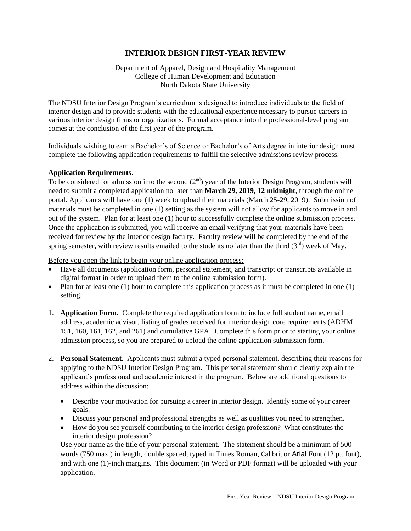# **INTERIOR DESIGN FIRST-YEAR REVIEW**

Department of Apparel, Design and Hospitality Management College of Human Development and Education North Dakota State University

The NDSU Interior Design Program's curriculum is designed to introduce individuals to the field of interior design and to provide students with the educational experience necessary to pursue careers in various interior design firms or organizations. Formal acceptance into the professional-level program comes at the conclusion of the first year of the program.

Individuals wishing to earn a Bachelor's of Science or Bachelor's of Arts degree in interior design must complete the following application requirements to fulfill the selective admissions review process.

#### **Application Requirements**.

To be considered for admission into the second  $(2<sup>nd</sup>)$  year of the Interior Design Program, students will need to submit a completed application no later than **March 29, 2019, 12 midnight**, through the online portal. Applicants will have one (1) week to upload their materials (March 25-29, 2019). Submission of materials must be completed in one (1) setting as the system will not allow for applicants to move in and out of the system. Plan for at least one (1) hour to successfully complete the online submission process. Once the application is submitted, you will receive an email verifying that your materials have been received for review by the interior design faculty. Faculty review will be completed by the end of the spring semester, with review results emailed to the students no later than the third  $(3<sup>rd</sup>)$  week of May.

Before you open the link to begin your online application process:

- Have all documents (application form, personal statement, and transcript or transcripts available in digital format in order to upload them to the online submission form).
- Plan for at least one (1) hour to complete this application process as it must be completed in one  $(1)$ setting.
- 1. **Application Form.** Complete the required application form to include full student name, email address, academic advisor, listing of grades received for interior design core requirements (ADHM 151, 160, 161, 162, and 261) and cumulative GPA. Complete this form prior to starting your online admission process, so you are prepared to upload the online application submission form.
- 2. **Personal Statement.** Applicants must submit a typed personal statement, describing their reasons for applying to the NDSU Interior Design Program. This personal statement should clearly explain the applicant's professional and academic interest in the program. Below are additional questions to address within the discussion:
	- Describe your motivation for pursuing a career in interior design. Identify some of your career goals.
	- Discuss your personal and professional strengths as well as qualities you need to strengthen.
	- How do you see yourself contributing to the interior design profession? What constitutes the interior design profession?

Use your name as the title of your personal statement. The statement should be a minimum of 500 words (750 max.) in length, double spaced, typed in Times Roman, Calibri, or Arial Font (12 pt. font), and with one (1)-inch margins. This document (in Word or PDF format) will be uploaded with your application.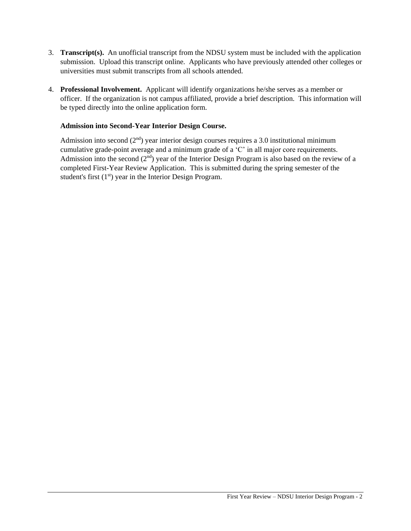- 3. **Transcript(s).** An unofficial transcript from the NDSU system must be included with the application submission. Upload this transcript online. Applicants who have previously attended other colleges or universities must submit transcripts from all schools attended.
- 4. **Professional Involvement.** Applicant will identify organizations he/she serves as a member or officer. If the organization is not campus affiliated, provide a brief description. This information will be typed directly into the online application form.

### **Admission into Second-Year Interior Design Course.**

Admission into second  $(2<sup>nd</sup>)$  year interior design courses requires a 3.0 institutional minimum cumulative grade-point average and a minimum grade of a 'C' in all major core requirements. Admission into the second  $(2<sup>nd</sup>)$  year of the Interior Design Program is also based on the review of a completed First-Year Review Application. This is submitted during the spring semester of the student's first  $(1<sup>st</sup>)$  year in the Interior Design Program.